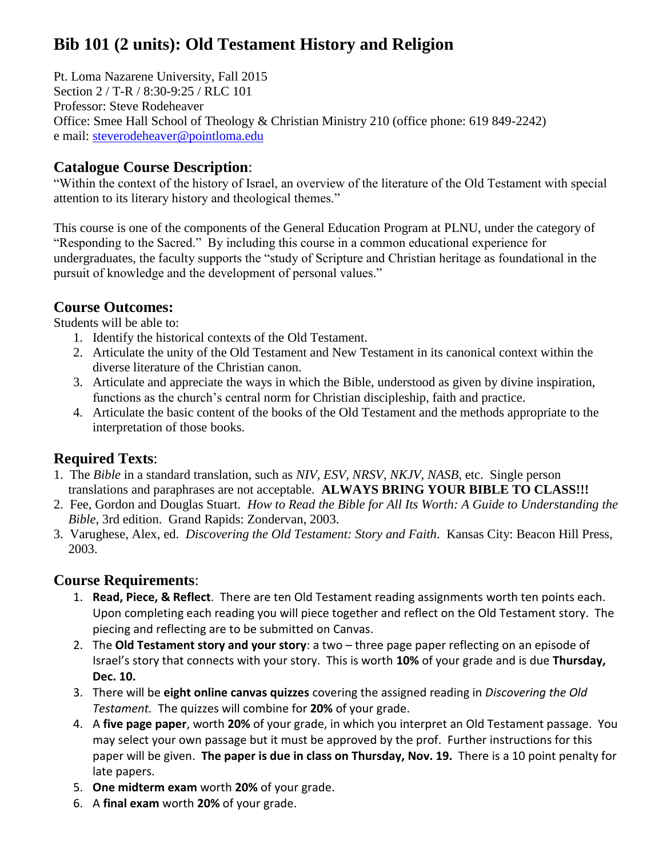# **Bib 101 (2 units): Old Testament History and Religion**

Pt. Loma Nazarene University, Fall 2015 Section 2 / T-R / 8:30-9:25 / RLC 101 Professor: Steve Rodeheaver Office: Smee Hall School of Theology & Christian Ministry 210 (office phone: 619 849-2242) e mail: [steverodeheaver@pointloma.edu](mailto:steverodeheaver@pointloma.edu)

### **Catalogue Course Description**:

"Within the context of the history of Israel, an overview of the literature of the Old Testament with special attention to its literary history and theological themes."

This course is one of the components of the General Education Program at PLNU, under the category of "Responding to the Sacred." By including this course in a common educational experience for undergraduates, the faculty supports the "study of Scripture and Christian heritage as foundational in the pursuit of knowledge and the development of personal values."

#### **Course Outcomes:**

Students will be able to:

- 1. Identify the historical contexts of the Old Testament.
- 2. Articulate the unity of the Old Testament and New Testament in its canonical context within the diverse literature of the Christian canon.
- 3. Articulate and appreciate the ways in which the Bible, understood as given by divine inspiration, functions as the church's central norm for Christian discipleship, faith and practice.
- 4. Articulate the basic content of the books of the Old Testament and the methods appropriate to the interpretation of those books.

## **Required Texts**:

- 1. The *Bible* in a standard translation, such as *NIV*, *ESV*, *NRSV*, *NKJV*, *NASB*, etc. Single person translations and paraphrases are not acceptable. **ALWAYS BRING YOUR BIBLE TO CLASS!!!**
- 2. Fee, Gordon and Douglas Stuart. *How to Read the Bible for All Its Worth: A Guide to Understanding the Bible*, 3rd edition. Grand Rapids: Zondervan, 2003.
- 3. Varughese, Alex, ed. *Discovering the Old Testament: Story and Faith*. Kansas City: Beacon Hill Press, 2003.

#### **Course Requirements**:

- 1. **Read, Piece, & Reflect**. There are ten Old Testament reading assignments worth ten points each. Upon completing each reading you will piece together and reflect on the Old Testament story. The piecing and reflecting are to be submitted on Canvas.
- 2. The **Old Testament story and your story**: a two three page paper reflecting on an episode of Israel's story that connects with your story. This is worth **10%** of your grade and is due **Thursday, Dec. 10.**
- 3. There will be **eight online canvas quizzes** covering the assigned reading in *Discovering the Old Testament.* The quizzes will combine for **20%** of your grade.
- 4. A **five page paper**, worth **20%** of your grade, in which you interpret an Old Testament passage. You may select your own passage but it must be approved by the prof. Further instructions for this paper will be given. **The paper is due in class on Thursday, Nov. 19.** There is a 10 point penalty for late papers.
- 5. **One midterm exam** worth **20%** of your grade.
- 6. A **final exam** worth **20%** of your grade.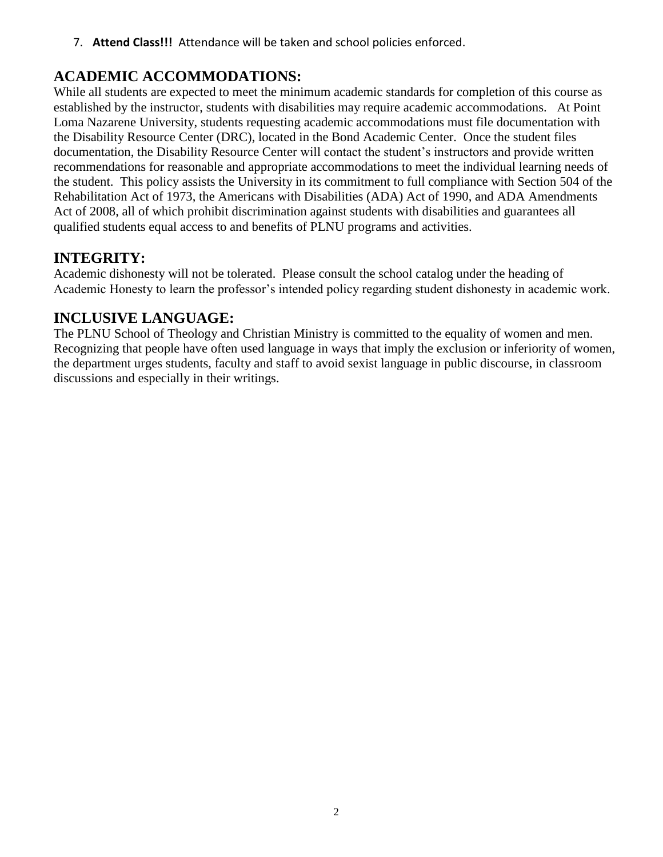7. **Attend Class!!!** Attendance will be taken and school policies enforced.

# **ACADEMIC ACCOMMODATIONS:**

While all students are expected to meet the minimum academic standards for completion of this course as established by the instructor, students with disabilities may require academic accommodations. At Point Loma Nazarene University, students requesting academic accommodations must file documentation with the Disability Resource Center (DRC), located in the Bond Academic Center. Once the student files documentation, the Disability Resource Center will contact the student's instructors and provide written recommendations for reasonable and appropriate accommodations to meet the individual learning needs of the student. This policy assists the University in its commitment to full compliance with Section 504 of the Rehabilitation Act of 1973, the Americans with Disabilities (ADA) Act of 1990, and ADA Amendments Act of 2008, all of which prohibit discrimination against students with disabilities and guarantees all qualified students equal access to and benefits of PLNU programs and activities.

# **INTEGRITY:**

Academic dishonesty will not be tolerated. Please consult the school catalog under the heading of Academic Honesty to learn the professor's intended policy regarding student dishonesty in academic work.

## **INCLUSIVE LANGUAGE:**

The PLNU School of Theology and Christian Ministry is committed to the equality of women and men. Recognizing that people have often used language in ways that imply the exclusion or inferiority of women, the department urges students, faculty and staff to avoid sexist language in public discourse, in classroom discussions and especially in their writings.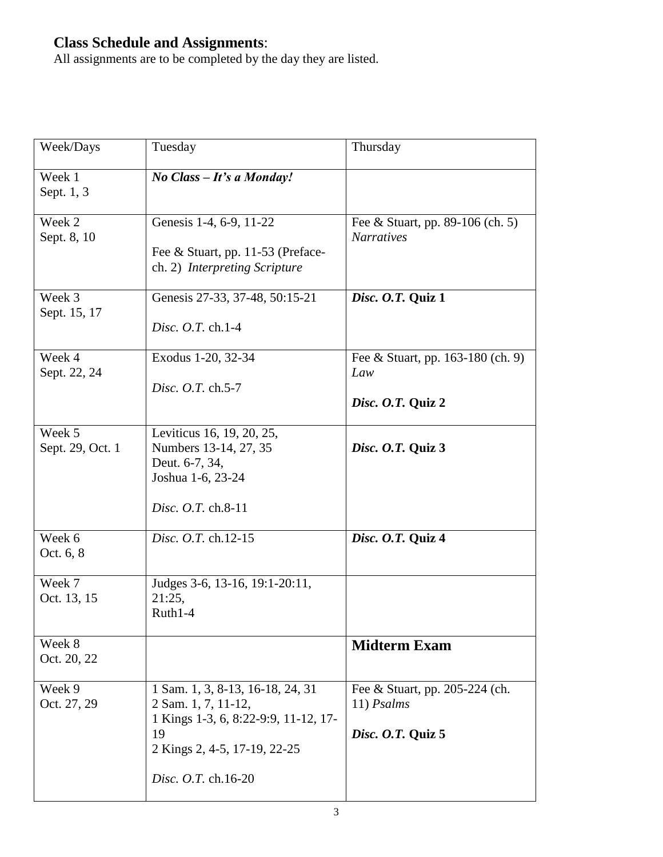#### **Class Schedule and Assignments**:

All assignments are to be completed by the day they are listed.

| Week/Days                  | Tuesday                                                                                                                                                      | Thursday                                                            |
|----------------------------|--------------------------------------------------------------------------------------------------------------------------------------------------------------|---------------------------------------------------------------------|
| Week 1<br>Sept. 1, 3       | No Class - It's a Monday!                                                                                                                                    |                                                                     |
| Week 2<br>Sept. 8, 10      | Genesis 1-4, 6-9, 11-22<br>Fee & Stuart, pp. 11-53 (Preface-<br>ch. 2) Interpreting Scripture                                                                | Fee & Stuart, pp. 89-106 (ch. 5)<br><b>Narratives</b>               |
| Week 3<br>Sept. 15, 17     | Genesis 27-33, 37-48, 50:15-21<br><i>Disc. O.T.</i> ch.1-4                                                                                                   | Disc. O.T. Quiz 1                                                   |
| Week 4<br>Sept. 22, 24     | Exodus 1-20, 32-34<br>Disc. O.T. ch.5-7                                                                                                                      | Fee & Stuart, pp. 163-180 (ch. 9)<br>Law<br>Disc. O.T. Quiz 2       |
| Week 5<br>Sept. 29, Oct. 1 | Leviticus 16, 19, 20, 25,<br>Numbers 13-14, 27, 35<br>Deut. 6-7, 34,<br>Joshua 1-6, 23-24<br>Disc. O.T. ch.8-11                                              | Disc. O.T. Quiz 3                                                   |
| Week 6<br>Oct. 6, 8        | Disc. O.T. ch.12-15                                                                                                                                          | Disc. O.T. Quiz 4                                                   |
| Week 7<br>Oct. 13, 15      | Judges 3-6, 13-16, 19:1-20:11,<br>21:25,<br>$Ruth1-4$                                                                                                        |                                                                     |
| Week 8<br>Oct. 20, 22      |                                                                                                                                                              | <b>Midterm Exam</b>                                                 |
| Week 9<br>Oct. 27, 29      | 1 Sam. 1, 3, 8-13, 16-18, 24, 31<br>2 Sam. 1, 7, 11-12,<br>1 Kings 1-3, 6, 8:22-9:9, 11-12, 17-<br>19<br>2 Kings 2, 4-5, 17-19, 22-25<br>Disc. O.T. ch.16-20 | Fee & Stuart, pp. 205-224 (ch.<br>$11)$ Psalms<br>Disc. O.T. Quiz 5 |